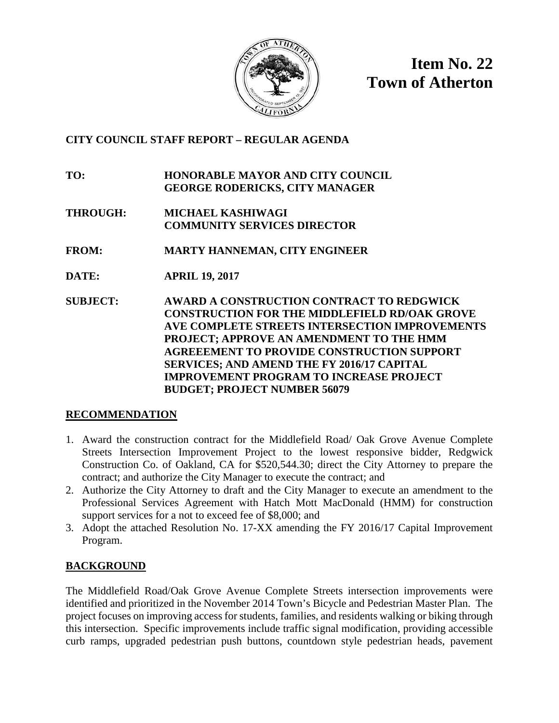

**Item No. 22 Town of Atherton**

### **CITY COUNCIL STAFF REPORT – REGULAR AGENDA**

**TO: HONORABLE MAYOR AND CITY COUNCIL GEORGE RODERICKS, CITY MANAGER**

- **THROUGH: MICHAEL KASHIWAGI COMMUNITY SERVICES DIRECTOR**
- **FROM: MARTY HANNEMAN, CITY ENGINEER**
- **DATE: APRIL 19, 2017**
- **SUBJECT: AWARD A CONSTRUCTION CONTRACT TO REDGWICK CONSTRUCTION FOR THE MIDDLEFIELD RD/OAK GROVE AVE COMPLETE STREETS INTERSECTION IMPROVEMENTS PROJECT; APPROVE AN AMENDMENT TO THE HMM AGREEEMENT TO PROVIDE CONSTRUCTION SUPPORT SERVICES; AND AMEND THE FY 2016/17 CAPITAL IMPROVEMENT PROGRAM TO INCREASE PROJECT BUDGET; PROJECT NUMBER 56079**

# **RECOMMENDATION**

- 1. Award the construction contract for the Middlefield Road/ Oak Grove Avenue Complete Streets Intersection Improvement Project to the lowest responsive bidder, Redgwick Construction Co. of Oakland, CA for \$520,544.30; direct the City Attorney to prepare the contract; and authorize the City Manager to execute the contract; and
- 2. Authorize the City Attorney to draft and the City Manager to execute an amendment to the Professional Services Agreement with Hatch Mott MacDonald (HMM) for construction support services for a not to exceed fee of \$8,000; and
- 3. Adopt the attached Resolution No. 17-XX amending the FY 2016/17 Capital Improvement Program.

# **BACKGROUND**

The Middlefield Road/Oak Grove Avenue Complete Streets intersection improvements were identified and prioritized in the November 2014 Town's Bicycle and Pedestrian Master Plan. The project focuses on improving access for students, families, and residents walking or biking through this intersection. Specific improvements include traffic signal modification, providing accessible curb ramps, upgraded pedestrian push buttons, countdown style pedestrian heads, pavement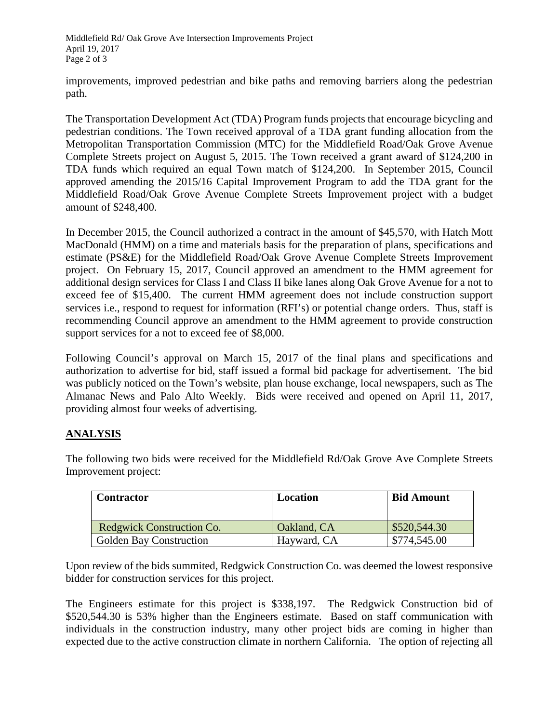Middlefield Rd/ Oak Grove Ave Intersection Improvements Project April 19, 2017 Page 2 of 3

improvements, improved pedestrian and bike paths and removing barriers along the pedestrian path.

The Transportation Development Act (TDA) Program funds projects that encourage bicycling and pedestrian conditions. The Town received approval of a TDA grant funding allocation from the Metropolitan Transportation Commission (MTC) for the Middlefield Road/Oak Grove Avenue Complete Streets project on August 5, 2015. The Town received a grant award of \$124,200 in TDA funds which required an equal Town match of \$124,200. In September 2015, Council approved amending the 2015/16 Capital Improvement Program to add the TDA grant for the Middlefield Road/Oak Grove Avenue Complete Streets Improvement project with a budget amount of \$248,400.

In December 2015, the Council authorized a contract in the amount of \$45,570, with Hatch Mott MacDonald (HMM) on a time and materials basis for the preparation of plans, specifications and estimate (PS&E) for the Middlefield Road/Oak Grove Avenue Complete Streets Improvement project. On February 15, 2017, Council approved an amendment to the HMM agreement for additional design services for Class I and Class II bike lanes along Oak Grove Avenue for a not to exceed fee of \$15,400. The current HMM agreement does not include construction support services i.e., respond to request for information (RFI's) or potential change orders. Thus, staff is recommending Council approve an amendment to the HMM agreement to provide construction support services for a not to exceed fee of \$8,000.

Following Council's approval on March 15, 2017 of the final plans and specifications and authorization to advertise for bid, staff issued a formal bid package for advertisement. The bid was publicly noticed on the Town's website, plan house exchange, local newspapers, such as The Almanac News and Palo Alto Weekly. Bids were received and opened on April 11, 2017, providing almost four weeks of advertising.

### **ANALYSIS**

The following two bids were received for the Middlefield Rd/Oak Grove Ave Complete Streets Improvement project:

| <b>Contractor</b>              | Location    | <b>Bid Amount</b> |
|--------------------------------|-------------|-------------------|
| Redgwick Construction Co.      | Oakland, CA | \$520,544.30      |
| <b>Golden Bay Construction</b> | Hayward, CA | \$774,545.00      |

Upon review of the bids summited, Redgwick Construction Co. was deemed the lowest responsive bidder for construction services for this project.

The Engineers estimate for this project is \$338,197. The Redgwick Construction bid of \$520,544.30 is 53% higher than the Engineers estimate. Based on staff communication with individuals in the construction industry, many other project bids are coming in higher than expected due to the active construction climate in northern California. The option of rejecting all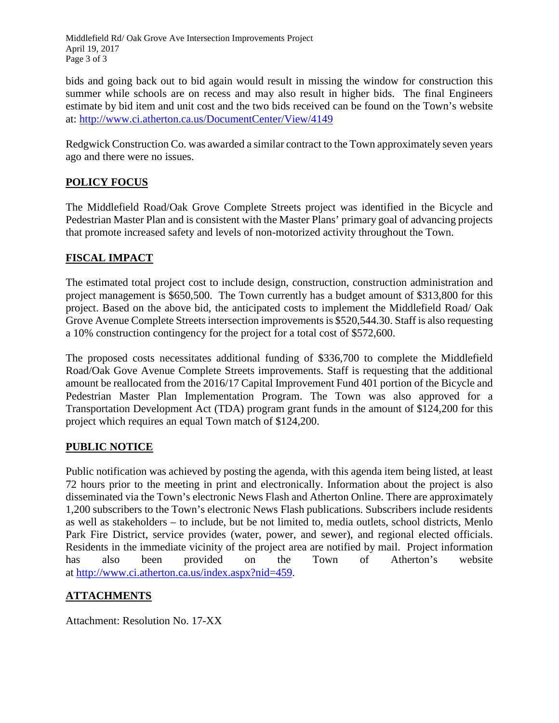Middlefield Rd/ Oak Grove Ave Intersection Improvements Project April 19, 2017 Page 3 of 3

bids and going back out to bid again would result in missing the window for construction this summer while schools are on recess and may also result in higher bids. The final Engineers estimate by bid item and unit cost and the two bids received can be found on the Town's website at:<http://www.ci.atherton.ca.us/DocumentCenter/View/4149>

Redgwick Construction Co. was awarded a similar contract to the Town approximately seven years ago and there were no issues.

# **POLICY FOCUS**

The Middlefield Road/Oak Grove Complete Streets project was identified in the Bicycle and Pedestrian Master Plan and is consistent with the Master Plans' primary goal of advancing projects that promote increased safety and levels of non-motorized activity throughout the Town.

# **FISCAL IMPACT**

The estimated total project cost to include design, construction, construction administration and project management is \$650,500. The Town currently has a budget amount of \$313,800 for this project. Based on the above bid, the anticipated costs to implement the Middlefield Road/ Oak Grove Avenue Complete Streets intersection improvements is \$520,544.30. Staff is also requesting a 10% construction contingency for the project for a total cost of \$572,600.

The proposed costs necessitates additional funding of \$336,700 to complete the Middlefield Road/Oak Gove Avenue Complete Streets improvements. Staff is requesting that the additional amount be reallocated from the 2016/17 Capital Improvement Fund 401 portion of the Bicycle and Pedestrian Master Plan Implementation Program. The Town was also approved for a Transportation Development Act (TDA) program grant funds in the amount of \$124,200 for this project which requires an equal Town match of \$124,200.

# **PUBLIC NOTICE**

Public notification was achieved by posting the agenda, with this agenda item being listed, at least 72 hours prior to the meeting in print and electronically. Information about the project is also disseminated via the Town's electronic News Flash and Atherton Online. There are approximately 1,200 subscribers to the Town's electronic News Flash publications. Subscribers include residents as well as stakeholders – to include, but be not limited to, media outlets, school districts, Menlo Park Fire District, service provides (water, power, and sewer), and regional elected officials. Residents in the immediate vicinity of the project area are notified by mail. Project information has also been provided on the Town of Atherton's website at [http://www.ci.atherton.ca.us/index.aspx?nid=459.](http://www.ci.atherton.ca.us/index.aspx?nid=459)

# **ATTACHMENTS**

Attachment: Resolution No. 17-XX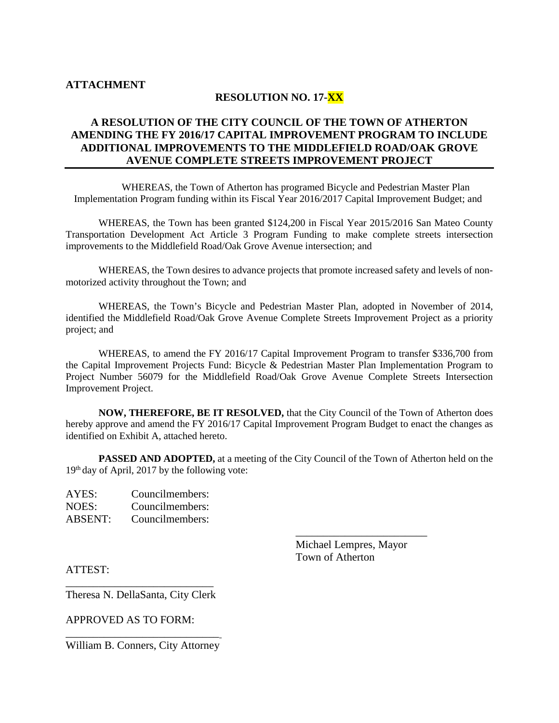#### **ATTACHMENT**

#### **RESOLUTION NO. 17-XX**

#### **A RESOLUTION OF THE CITY COUNCIL OF THE TOWN OF ATHERTON AMENDING THE FY 2016/17 CAPITAL IMPROVEMENT PROGRAM TO INCLUDE ADDITIONAL IMPROVEMENTS TO THE MIDDLEFIELD ROAD/OAK GROVE AVENUE COMPLETE STREETS IMPROVEMENT PROJECT**

WHEREAS, the Town of Atherton has programed Bicycle and Pedestrian Master Plan Implementation Program funding within its Fiscal Year 2016/2017 Capital Improvement Budget; and

WHEREAS, the Town has been granted \$124,200 in Fiscal Year 2015/2016 San Mateo County Transportation Development Act Article 3 Program Funding to make complete streets intersection improvements to the Middlefield Road/Oak Grove Avenue intersection; and

WHEREAS, the Town desires to advance projects that promote increased safety and levels of nonmotorized activity throughout the Town; and

WHEREAS, the Town's Bicycle and Pedestrian Master Plan, adopted in November of 2014, identified the Middlefield Road/Oak Grove Avenue Complete Streets Improvement Project as a priority project; and

WHEREAS, to amend the FY 2016/17 Capital Improvement Program to transfer \$336,700 from the Capital Improvement Projects Fund: Bicycle & Pedestrian Master Plan Implementation Program to Project Number 56079 for the Middlefield Road/Oak Grove Avenue Complete Streets Intersection Improvement Project.

**NOW, THEREFORE, BE IT RESOLVED,** that the City Council of the Town of Atherton does hereby approve and amend the FY 2016/17 Capital Improvement Program Budget to enact the changes as identified on Exhibit A, attached hereto.

**PASSED AND ADOPTED,** at a meeting of the City Council of the Town of Atherton held on the  $19<sup>th</sup>$  day of April, 2017 by the following vote:

| AYES:          | Councilmembers: |
|----------------|-----------------|
| NOES:          | Councilmembers: |
| <b>ABSENT:</b> | Councilmembers: |

 Michael Lempres, Mayor Town of Atherton

 $\frac{1}{2}$  ,  $\frac{1}{2}$  ,  $\frac{1}{2}$  ,  $\frac{1}{2}$  ,  $\frac{1}{2}$  ,  $\frac{1}{2}$  ,  $\frac{1}{2}$  ,  $\frac{1}{2}$  ,  $\frac{1}{2}$  ,  $\frac{1}{2}$  ,  $\frac{1}{2}$  ,  $\frac{1}{2}$  ,  $\frac{1}{2}$  ,  $\frac{1}{2}$  ,  $\frac{1}{2}$  ,  $\frac{1}{2}$  ,  $\frac{1}{2}$  ,  $\frac{1}{2}$  ,  $\frac{1$ 

ATTEST:

\_\_\_\_\_\_\_\_\_\_\_\_\_\_\_\_\_\_\_\_\_\_\_\_\_\_\_ Theresa N. DellaSanta, City Clerk

APPROVED AS TO FORM:

\_\_\_\_\_\_\_\_\_\_\_\_\_\_\_\_\_\_\_\_\_\_\_\_\_\_\_\_ William B. Conners, City Attorney